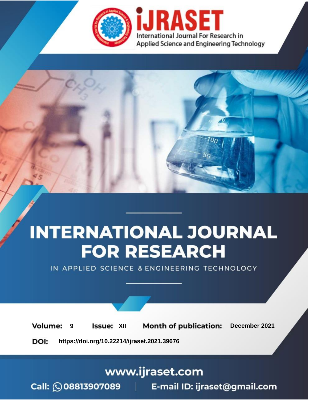

# **INTERNATIONAL JOURNAL FOR RESEARCH**

IN APPLIED SCIENCE & ENGINEERING TECHNOLOGY

**Month of publication: Volume: Issue: XII** December 2021 9 DOI: https://doi.org/10.22214/ijraset.2021.39676

www.ijraset.com

Call: 008813907089 | E-mail ID: ijraset@gmail.com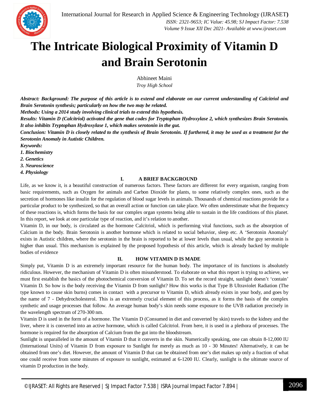

### **The Intricate Biological Proximity of Vitamin D and Brain Serotonin**

Abhineet Maini

*Troy High School*

Abstract: Background: The purpose of this article is to extend and elaborate on our current understanding of Calcitriol and *Brain Serotonin synthesis; particularly on how the two may be related.*

*Methods: Using a 2014 study involving clinical trials to extend this hypothesis.*

Results: Vitamin D (Calcitriol) activated the gene that codes for Tryptophan Hydroxylase 2, which synthesizes Brain Serotonin. *It also inhibits Tryptophan Hydroxylase 1, which makes serotonin in the gut.*

Conclusion: Vitamin D is closely related to the synthesis of Brain Serotonin. If furthered, it may be used as a treatment for the *Serotonin Anomaly in Autistic Children.*

*Keywords:*

*1. Biochemistry*

*2. Genetics*

*3. Neuroscience*

*4. Physiology*

#### **I. A BRIEF BACKGROUND**

Life, as we know it, is a beautiful construction of numerous factors. These factors are different for every organism, ranging from basic requirements, such as Oxygen for animals and Carbon Dioxide for plants, to some relatively complex ones, such as the secretion of hormones like insulin for the regulation of blood sugar levels in animals. Thousands of chemical reactions provide for a particular product to be synthesized, so that an overall action or function can take place. We often underestimate what the frequency of these reactions is, which forms the basis for our complex organ systems being able to sustain in the life conditions of this planet. In this report, we look at one particular type of reaction, and it's relation to another.

Vitamin D, in our body, is circulated as the hormone Calcitriol, which is performing vital functions, such as the absorption of Calcium in the body. Brain Serotonin is another hormone which is related to social behavior, sleep etc. A 'Serotonin Anomaly' exists in Autistic children, where the serotonin in the brain is reported to be at lower levels than usual, while the guy serotonin is higher than usual. This mechanism is explained by the proposed hypothesis of this article, which is already backed by multiple bodies of evidence

#### **II. HOW VITAMIN D IS MADE**

Simply put, Vitamin D is an extremely important resource for the human body. The importance of its functions is absolutely ridiculous. However, the mechanism of Vitamin D is often misunderstood. To elaborate on what this report is trying to achieve, we must first establish the basics of the photochemical conversion of Vitamin D. To set the record straight, sunlight doesn't 'contain' Vitamin D. So how is the body receiving the Vitamin D from sunlight? How this works is that Type B Ultraviolet Radiation (The type known to cause skin burns) comes in contact with a precursor to Vitamin D, which already exists in your body, and goes by the name of 7 - Dehydrocholesterol. This is an extremely crucial element of this process, as it forms the basis of the complex synthetic and usage processes that follow. An average human body's skin needs some exposure to the UVB radiation precisely in the wavelength spectrum of 270-300 nm.

Vitamin D is used in the form of a hormone. The Vitamin D (Consumed in diet and converted by skin) travels to the kidney and the liver, where it is converted into an active hormone, which is called Calcitriol. From here, it is used in a plethora of processes. The hormone is required for the absorption of Calcium from the gut into the bloodstream.

Sunlight is unparalleled in the amount of Vitamin D that it converts in the skin. Numerically speaking, one can obtain 8-12,000 IU (International Units) of Vitamin D from exposure to Sunlight for merely as much as 10 - 30 Minutes! Alternatively, it can be obtained from one's diet. However, the amount of Vitamin D that can be obtained from one's diet makes up only a fraction of what one could receive from some minutes of exposure to sunlight, estimated at 6-1200 IU. Clearly, sunlight is the ultimate source of vitamin D production in the body.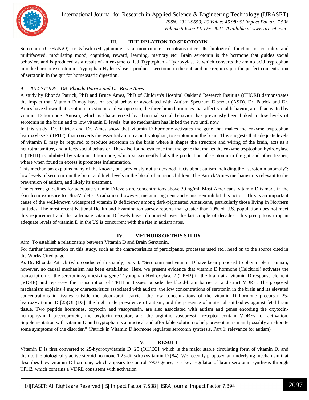

#### International Journal for Research in Applied Science & Engineering Technology (IJRASET**)**

 *ISSN: 2321-9653; IC Value: 45.98; SJ Impact Factor: 7.538 Volume 9 Issue XII Dec 2021- Available at www.ijraset.com*

#### **III. THE RELATION TO SEROTONIN**

Serotonin ( $C<sub>10</sub>H<sub>12</sub>N<sub>2</sub>O$ ) or 5-hydroxytryptamine is a monoamine neurotransmitter. Its biological function is complex and multifaceted, modulating mood, cognition, reward, learning, memory etc. Brain serotonin is the hormone that guides social behavior, and is produced as a result of an enzyme called Tryptophan - Hydroxylase 2, which converts the amino acid tryptophan into the hormone serotonin. Tryptophan Hydroxylase 1 produces serotonin in the gut, and one requires just the perfect concentration of serotonin in the gut for homeostatic digestion.

#### *A. 2014 STUDY - DR. Rhonda Patrick and Dr. Bruce Ames*

A study by Rhonda Patrick, PhD and Bruce Ames, PhD of Children's Hospital Oakland Research Institute (CHORI) demonstrates the impact that Vitamin D may have on social behavior associated with Autism Spectrum Disorder (ASD). Dr. Patrick and Dr. Ames have shown that serotonin, oxytocin, and vasopressin, the three brain hormones that affect social behavior, are all activated by vitamin D hormone. Autism, which is characterized by abnormal social behavior, has previously been linked to low levels of serotonin in the brain and to low vitamin D levels, but no mechanism has linked the two until now.

In this study, Dr. Patrick and Dr. Ames show that vitamin D hormone activates the gene that makes the enzyme tryptophan hydroxylase 2 (TPH2), that converts the essential amino acid tryptophan, to serotonin in the brain. This suggests that adequate levels of vitamin D may be required to produce serotonin in the brain where it shapes the structure and wiring of the brain, acts as a neurotransmitter, and affects social behavior. They also found evidence that the gene that makes the enzyme tryptophan hydroxylase 1 (TPH1) is inhibited by vitamin D hormone, which subsequently halts the production of serotonin in the gut and other tissues, where when found in excess it promotes inflammation.

This mechanism explains many of the known, but previously not understood, facts about autism including the "serotonin anomaly": low levels of serotonin in the brain and high levels in the blood of autistic children. The Patrick/Ames mechanism is relevant to the prevention of autism, and likely its treatment.

The current guidelines for adequate vitamin D levels are concentrations above 30 ng/ml. Most Americans' vitamin D is made in the skin from exposure to UltraViolet - B radiation; however, melanin pigment and sunscreen inhibit this action. This is an important cause of the well-known widespread vitamin D deficiency among dark-pigmented Americans, particularly those living in Northern latitudes. The most recent National Health and Examination survey reports that greater than 70% of U.S. population does not meet this requirement and that adequate vitamin D levels have plummeted over the last couple of decades. This precipitous drop in adequate levels of vitamin D in the US is concurrent with the rise in autism rates.

#### **IV. METHODS OF THIS STUDY**

Aim: To establish a relationship between Vitamin D and Brain Serotonin.

For further information on this study, such as the characteristics of participants, processes used etc., head on to the source cited in the Works Cited page.

As Dr. Rhonda Patrick (who conducted this study) puts it, "Serotonin and vitamin D have been proposed to play a role in autism; however, no causal mechanism has been established. Here, we present evidence that vitamin D hormone (Calcitriol) activates the transcription of the serotonin-synthesizing gene Tryptophan Hydroxylase 2 (TPH2) in the brain at a vitamin D response element (VDRE) and represses the transcription of TPH1 in tissues outside the blood-brain barrier at a distinct VDRE. The proposed mechanism explains 4 major characteristics associated with autism: the low concentrations of serotonin in the brain and its elevated concentrations in tissues outside the blood-brain barrier; the low concentrations of the vitamin D hormone precursor 25 hydroxyvitamin D [25(OH)D3]; the high male prevalence of autism; and the presence of maternal antibodies against fetal brain tissue. Two peptide hormones, oxytocin and vasopressin, are also associated with autism and genes encoding the oxytocinneurophysin I preproprotein, the oxytocin receptor, and the arginine vasopressin receptor contain VDREs for activation. Supplementation with vitamin D and tryptophan is a practical and affordable solution to help prevent autism and possibly ameliorate some symptoms of the disorder," (Patrick in Vitamin D hormone regulates serotonin synthesis. Part 1: relevance for autism)

#### **V. RESULT**

Vitamin D is first converted to 25-hydroxyvitamin D [25 (OH)D3], which is the major stable circulating form of vitamin D, and then to the biologically active steroid hormone 1,25-dihydroxyvitamin D (84). We recently proposed an underlying mechanism that describes how vitamin D hormone, which appears to control >900 genes, is a key regulator of brain serotonin synthesis through TPH2, which contains a VDRE consistent with activation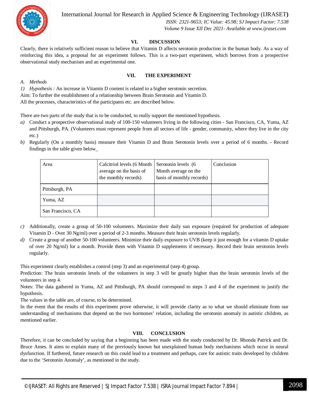

International Journal for Research in Applied Science & Engineering Technology (IJRASET**)**

 *ISSN: 2321-9653; IC Value: 45.98; SJ Impact Factor: 7.538 Volume 9 Issue XII Dec 2021- Available at www.ijraset.com*

#### **VI. DISCUSSION**

Clearly, there is relatively sufficient reason to believe that Vitamin D affects serotonin production in the human body. As a way of reinforcing this idea, a proposal for an experiment follows. This is a two-part experiment, which borrows from a prospective observational study mechanism and an experimental one.

#### **VII. THE EXPERIMENT**

*A. Methods*

*1) Hypothesis :* An increase in Vitamin D content is related to a higher serotonin secretion. Aim: To further the establishment of a relationship between Brain Serotonin and Vitamin D. All the processes, characteristics of the participants etc. are described below.

There are two parts of the study that is to be conducted, to really support the mentioned hypothesis.

- *a)* Conduct a prospective observational study of 100-150 volunteers living in the following cities San Francisco, CA, Yuma, AZ and Pittsburgh, PA. (Volunteers must represent people from all sectors of life - gender, community, where they live in the city etc.)
- *b)* Regularly (On a monthly basis) measure their Vitamin D and Brain Serotonin levels over a period of 6 months. Record findings in the table given below\_

| Area              | Calcitriol levels (6 Month<br>average on the basis of<br>the monthly records) | Serotonin levels (6<br>Month average on the<br>basis of monthly records) | Conclusion |
|-------------------|-------------------------------------------------------------------------------|--------------------------------------------------------------------------|------------|
| Pittsburgh, PA    |                                                                               |                                                                          |            |
| Yuma, AZ          |                                                                               |                                                                          |            |
| San Francisco, CA |                                                                               |                                                                          |            |

- *c)* Additionally, create a group of 50-100 volunteers. Maximize their daily sun exposure (required for production of adequate Vitamin D - Over 30 Ng/ml) over a period of 2-3 months. Measure their brain serotonin levels regularly.
- *d*) Create a group of another 50-100 volunteers. Minimize their daily exposure to UVB (keep it just enough for a vitamin D uptake of over 20 Ng/ml) for a month. Provide them with Vitamin D supplements if necessary. Record their brain serotonin levels regularly.

This experiment clearly establishes a control (step 3) and an experimental (step 4) group.

Prediction: The brain serotonin levels of the volunteers in step 3 will be greatly higher than the brain serotonin levels of the volunteers in step 4.

Notes: The data gathered in Yuma, AZ and Pittsburgh, PA should correspond to steps 3 and 4 of the experiment to justify the hypothesis.

The values in the table are, of course, to be determined.

In the event that the results of this experiment prove otherwise, it will provide clarity as to what we should eliminate from our understanding of mechanisms that depend on the two hormones' relation, including the serotonin anomaly in autistic children, as mentioned earlier.

#### **VIII. CONCLUSION**

Therefore, it can be concluded by saying that a beginning has been made with the study conducted by Dr. Rhonda Patrick and Dr. Bruce Ames. It aims to explain many of the previously known but unexplained human body mechanisms which occur in neural dysfunction. If furthered, future research on this could lead to a treatment and perhaps, cure for autistic traits developed by children due to the 'Serotonin Anomaly', as mentioned in the study.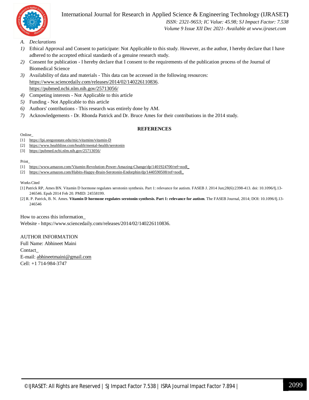

#### International Journal for Research in Applied Science & Engineering Technology (IJRASET**)**

 *ISSN: 2321-9653; IC Value: 45.98; SJ Impact Factor: 7.538*

 *Volume 9 Issue XII Dec 2021- Available at www.ijraset.com*

- *A. Declarations*
- *1)* Ethical Approval and Consent to participate: Not Applicable to this study. However, as the author, I hereby declare that I have adhered to the accepted ethical standards of a genuine research study.
- *2)* Consent for publication I hereby declare that I consent to the requirements of the publication process of the Journal of Biomedical Science
- *3*) Availability of data and materials This data can be accessed in the following resources: https://www.sciencedaily.com/releases/2014/02/140226110836. https://pubmed.ncbi.nlm.nih.gov/25713056/
- *4)* Competing interests Not Applicable to this article
- *5)* Funding Not Applicable to this article
- *6)* Authors' contributions This research was entirely done by AM.
- *7)* Acknowledgements Dr. Rhonda Patrick and Dr. Bruce Ames for their contributions in the 2014 study.

#### **REFERENCES**

Online\_

- [1] https://lpi.oregonstate.edu/mic/vitamins/vitamin-D
- [2] https://www.healthline.com/health/mental-health/serotonin
- [3] https://pubmed.ncbi.nlm.nih.gov/25713056/

Print\_

- [1] https://www.amazon.com/Vitamin-Revolution-Power-Amazing-Change/dp/1401924700/ref=nodl\_
- [2] https://www.amazon.com/Habits-Happy-Brain-Serotonin-Endorphin/dp/1440590508/ref=nodl\_

Works Cited

- [1] Patrick RP, Ames BN. Vitamin D hormone regulates serotonin synthesis. Part 1: relevance for autism. FASEB J. 2014 Jun;28(6):2398-413. doi: 10.1096/fj.13- 246546. Epub 2014 Feb 20. PMID: 24558199.
- [2] R. P. Patrick, B. N. Ames. Vitamin D hormone regulates serotonin synthesis. Part 1: relevance for autism. The FASEB Journal, 2014; DOI: 10.1096/fj.13-246546

How to access this information\_

Website - https://www.sciencedaily.com/releases/2014/02/140226110836.

AUTHOR INFORMATION

Full Name: Abhineet Maini Contact\_ E-mail: abhineetmaini@gmail.com Cell: +1 714-984-3747